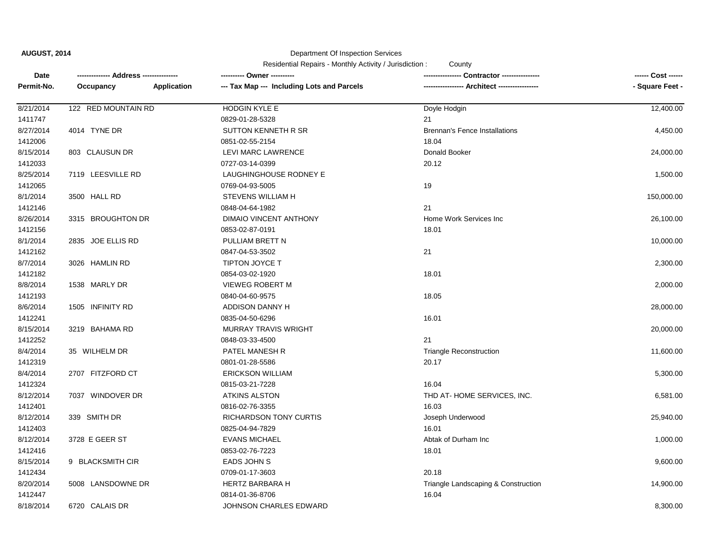**AUGUST, 2014**

Department Of Inspection Services

Residential Repairs - Monthly Activity / Jurisdiction : County

| Date       |                     |             | ---------- Owner ----------                |                                      | ------ Cost ------ |
|------------|---------------------|-------------|--------------------------------------------|--------------------------------------|--------------------|
| Permit-No. | Occupancy           | Application | --- Tax Map --- Including Lots and Parcels | --- Architect -------------          | - Square Feet -    |
| 8/21/2014  | 122 RED MOUNTAIN RD |             | <b>HODGIN KYLE E</b>                       | Doyle Hodgin                         | 12,400.00          |
| 1411747    |                     |             | 0829-01-28-5328                            | 21                                   |                    |
| 8/27/2014  | 4014 TYNE DR        |             | SUTTON KENNETH R SR                        | <b>Brennan's Fence Installations</b> | 4,450.00           |
| 1412006    |                     |             | 0851-02-55-2154                            | 18.04                                |                    |
| 8/15/2014  | 803 CLAUSUN DR      |             | LEVI MARC LAWRENCE                         | Donald Booker                        | 24,000.00          |
| 1412033    |                     |             | 0727-03-14-0399                            | 20.12                                |                    |
| 8/25/2014  | 7119 LEESVILLE RD   |             | LAUGHINGHOUSE RODNEY E                     |                                      | 1,500.00           |
| 1412065    |                     |             | 0769-04-93-5005                            | 19                                   |                    |
| 8/1/2014   | 3500 HALL RD        |             | <b>STEVENS WILLIAM H</b>                   |                                      | 150,000.00         |
| 1412146    |                     |             | 0848-04-64-1982                            | 21                                   |                    |
| 8/26/2014  | 3315 BROUGHTON DR   |             | DIMAIO VINCENT ANTHONY                     | Home Work Services Inc               | 26,100.00          |
| 1412156    |                     |             | 0853-02-87-0191                            | 18.01                                |                    |
| 8/1/2014   | 2835 JOE ELLIS RD   |             | PULLIAM BRETT N                            |                                      | 10,000.00          |
| 1412162    |                     |             | 0847-04-53-3502                            | 21                                   |                    |
| 8/7/2014   | 3026 HAMLIN RD      |             | <b>TIPTON JOYCE T</b>                      |                                      | 2,300.00           |
| 1412182    |                     |             | 0854-03-02-1920                            | 18.01                                |                    |
| 8/8/2014   | 1538 MARLY DR       |             | <b>VIEWEG ROBERT M</b>                     |                                      | 2,000.00           |
| 1412193    |                     |             | 0840-04-60-9575                            | 18.05                                |                    |
| 8/6/2014   | 1505 INFINITY RD    |             | ADDISON DANNY H                            |                                      | 28,000.00          |
| 1412241    |                     |             | 0835-04-50-6296                            | 16.01                                |                    |
| 8/15/2014  | 3219 BAHAMA RD      |             | <b>MURRAY TRAVIS WRIGHT</b>                |                                      | 20,000.00          |
| 1412252    |                     |             | 0848-03-33-4500                            | 21                                   |                    |
| 8/4/2014   | 35 WILHELM DR       |             | PATEL MANESH R                             | <b>Triangle Reconstruction</b>       | 11,600.00          |
| 1412319    |                     |             | 0801-01-28-5586                            | 20.17                                |                    |
| 8/4/2014   | 2707 FITZFORD CT    |             | <b>ERICKSON WILLIAM</b>                    |                                      | 5,300.00           |
| 1412324    |                     |             | 0815-03-21-7228                            | 16.04                                |                    |
| 8/12/2014  | 7037 WINDOVER DR    |             | <b>ATKINS ALSTON</b>                       | THD AT-HOME SERVICES, INC.           | 6,581.00           |
| 1412401    |                     |             | 0816-02-76-3355                            | 16.03                                |                    |
| 8/12/2014  | 339 SMITH DR        |             | <b>RICHARDSON TONY CURTIS</b>              | Joseph Underwood                     | 25,940.00          |
| 1412403    |                     |             | 0825-04-94-7829                            | 16.01                                |                    |
| 8/12/2014  | 3728 E GEER ST      |             | <b>EVANS MICHAEL</b>                       | Abtak of Durham Inc                  | 1,000.00           |
| 1412416    |                     |             | 0853-02-76-7223                            | 18.01                                |                    |
| 8/15/2014  | 9 BLACKSMITH CIR    |             | EADS JOHN S                                |                                      | 9,600.00           |
| 1412434    |                     |             | 0709-01-17-3603                            | 20.18                                |                    |
| 8/20/2014  | 5008 LANSDOWNE DR   |             | <b>HERTZ BARBARA H</b>                     | Triangle Landscaping & Construction  | 14,900.00          |
| 1412447    |                     |             | 0814-01-36-8706                            | 16.04                                |                    |
| 8/18/2014  | 6720 CALAIS DR      |             | JOHNSON CHARLES EDWARD                     |                                      | 8,300.00           |